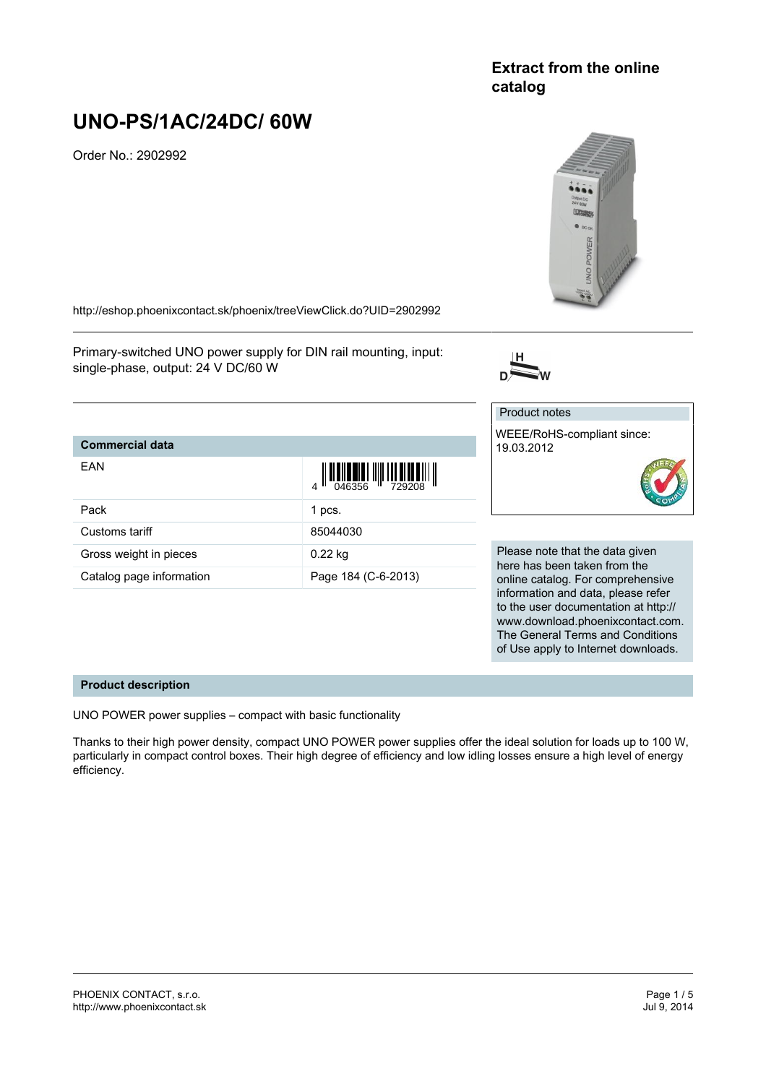## **Extract from the online catalog**

# **UNO-PS/1AC/24DC/ 60W**

Order No.: 2902992



www.download.phoenixcontact.com. The General Terms and Conditions of Use apply to Internet downloads.

<http://eshop.phoenixcontact.sk/phoenix/treeViewClick.do?UID=2902992>

Primary-switched UNO power supply for DIN rail mounting, input: single-phase, output: 24 V DC/60 W



#### **Commercial data** EAN  $\begin{array}{c} 4 \end{array}$   $\begin{array}{c} 1 \end{array}$   $\begin{array}{c} 0.46356 \end{array}$   $\begin{array}{c} 1 \end{array}$   $\begin{array}{c} 729208 \end{array}$ Pack 1 pcs. Customs tariff 85044030 Gross weight in pieces 0.22 kg Catalog page information Page 184 (C-6-2013) Product notes WEEE/RoHS-compliant since: 19.03.2012 Please note that the data given here has been taken from the online catalog. For comprehensive information and data, please refer to the user documentation at http://

### **Product description**

UNO POWER power supplies – compact with basic functionality

Thanks to their high power density, compact UNO POWER power supplies offer the ideal solution for loads up to 100 W, particularly in compact control boxes. Their high degree of efficiency and low idling losses ensure a high level of energy efficiency.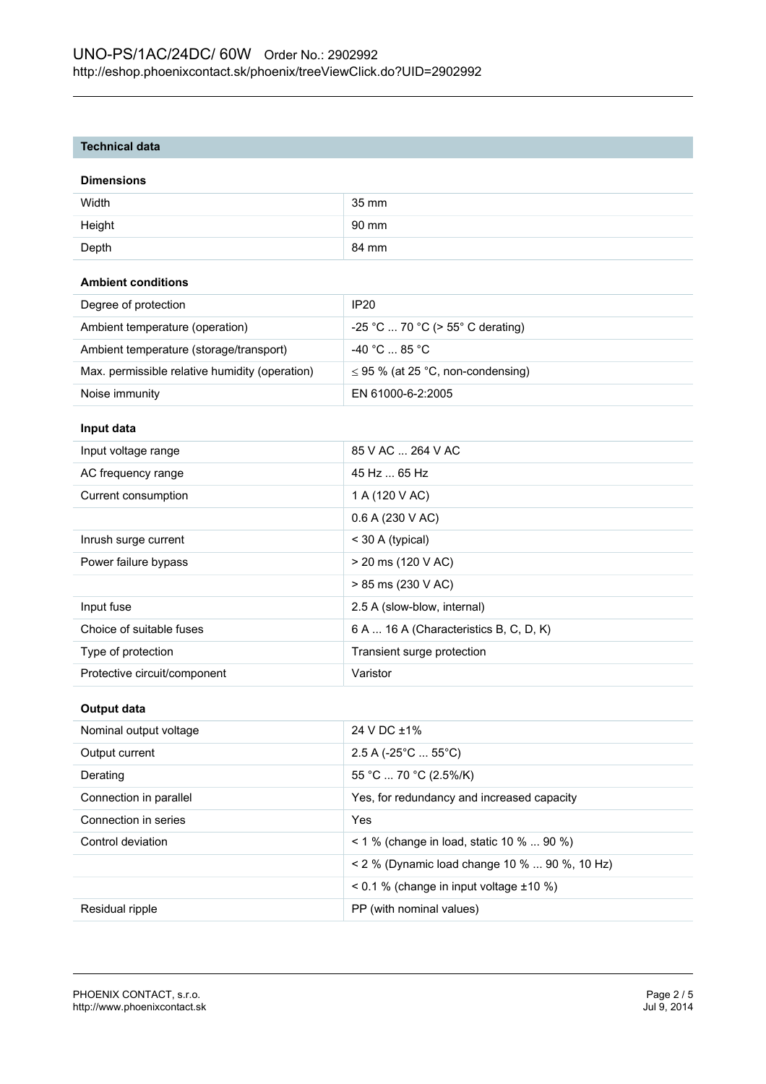## **Technical data**

#### **Dimensions**

| Width  | 35 mm |
|--------|-------|
| Height | 90 mm |
| Depth  | 84 mm |

## **Ambient conditions**

| Degree of protection                           | IP <sub>20</sub>                       |
|------------------------------------------------|----------------------------------------|
| Ambient temperature (operation)                | $-25$ °C  70 °C (> 55° C derating)     |
| Ambient temperature (storage/transport)        | $-40\degree$ C  85 $^{\circ}$ C .      |
| Max. permissible relative humidity (operation) | $\leq$ 95 % (at 25 °C, non-condensing) |
| Noise immunity                                 | EN 61000-6-2:2005                      |

## **Input data**

| Input voltage range          | 85 V AC  264 V AC                      |
|------------------------------|----------------------------------------|
| AC frequency range           | 45 Hz  65 Hz                           |
| Current consumption          | 1 A (120 V AC)                         |
|                              | 0.6 A (230 V AC)                       |
| Inrush surge current         | $<$ 30 A (typical)                     |
| Power failure bypass         | $>$ 20 ms (120 V AC)                   |
|                              | > 85 ms (230 V AC)                     |
| Input fuse                   | 2.5 A (slow-blow, internal)            |
| Choice of suitable fuses     | 6 A  16 A (Characteristics B, C, D, K) |
| Type of protection           | Transient surge protection             |
| Protective circuit/component | Varistor                               |

#### **Output data**

| Nominal output voltage | 24 V DC ±1%                                       |
|------------------------|---------------------------------------------------|
| Output current         | $2.5$ A (-25 $^{\circ}$ C  55 $^{\circ}$ C)       |
| Derating               | 55 °C  70 °C (2.5%/K)                             |
| Connection in parallel | Yes, for redundancy and increased capacity        |
| Connection in series   | Yes                                               |
| Control deviation      | $1\%$ (change in load, static 10 %  90 %)         |
|                        | < 2 % (Dynamic load change 10 %  90 %, 10 Hz)     |
|                        | $\leq$ 0.1 % (change in input voltage $\pm$ 10 %) |
| Residual ripple        | PP (with nominal values)                          |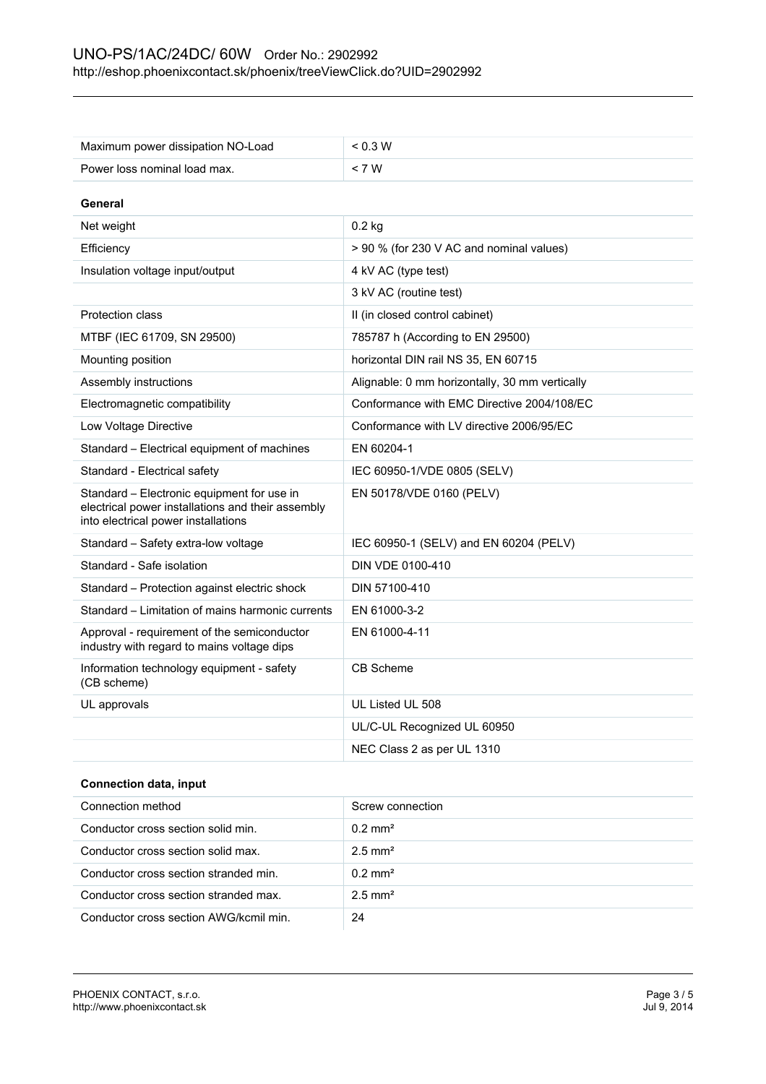| Maximum power dissipation NO-Load                                                                                                      | < 0.3 W                                        |
|----------------------------------------------------------------------------------------------------------------------------------------|------------------------------------------------|
| Power loss nominal load max.                                                                                                           | < 7 W                                          |
| General                                                                                                                                |                                                |
| Net weight                                                                                                                             | $0.2$ kg                                       |
|                                                                                                                                        |                                                |
| Efficiency                                                                                                                             | > 90 % (for 230 V AC and nominal values)       |
| Insulation voltage input/output                                                                                                        | 4 kV AC (type test)                            |
|                                                                                                                                        | 3 kV AC (routine test)                         |
| Protection class                                                                                                                       | II (in closed control cabinet)                 |
| MTBF (IEC 61709, SN 29500)                                                                                                             | 785787 h (According to EN 29500)               |
| Mounting position                                                                                                                      | horizontal DIN rail NS 35, EN 60715            |
| Assembly instructions                                                                                                                  | Alignable: 0 mm horizontally, 30 mm vertically |
| Electromagnetic compatibility                                                                                                          | Conformance with EMC Directive 2004/108/EC     |
| Low Voltage Directive                                                                                                                  | Conformance with LV directive 2006/95/EC       |
| Standard - Electrical equipment of machines                                                                                            | EN 60204-1                                     |
| Standard - Electrical safety                                                                                                           | IEC 60950-1/VDE 0805 (SELV)                    |
| Standard - Electronic equipment for use in<br>electrical power installations and their assembly<br>into electrical power installations | EN 50178/VDE 0160 (PELV)                       |
| Standard – Safety extra-low voltage                                                                                                    | IEC 60950-1 (SELV) and EN 60204 (PELV)         |
| Standard - Safe isolation                                                                                                              | DIN VDE 0100-410                               |
| Standard - Protection against electric shock                                                                                           | DIN 57100-410                                  |
| Standard – Limitation of mains harmonic currents                                                                                       | EN 61000-3-2                                   |
| Approval - requirement of the semiconductor<br>industry with regard to mains voltage dips                                              | EN 61000-4-11                                  |
| Information technology equipment - safety<br>(CB scheme)                                                                               | CB Scheme                                      |
| UL approvals                                                                                                                           | UL Listed UL 508                               |
|                                                                                                                                        | UL/C-UL Recognized UL 60950                    |
|                                                                                                                                        | NEC Class 2 as per UL 1310                     |
|                                                                                                                                        |                                                |

## **Connection data, input**

| Connection method                      | Screw connection      |
|----------------------------------------|-----------------------|
| Conductor cross section solid min.     | $0.2 \text{ mm}^2$    |
| Conductor cross section solid max.     | $2.5$ mm <sup>2</sup> |
| Conductor cross section stranded min.  | $0.2 \text{ mm}^2$    |
| Conductor cross section stranded max.  | $2.5$ mm <sup>2</sup> |
| Conductor cross section AWG/kcmil min. | 24                    |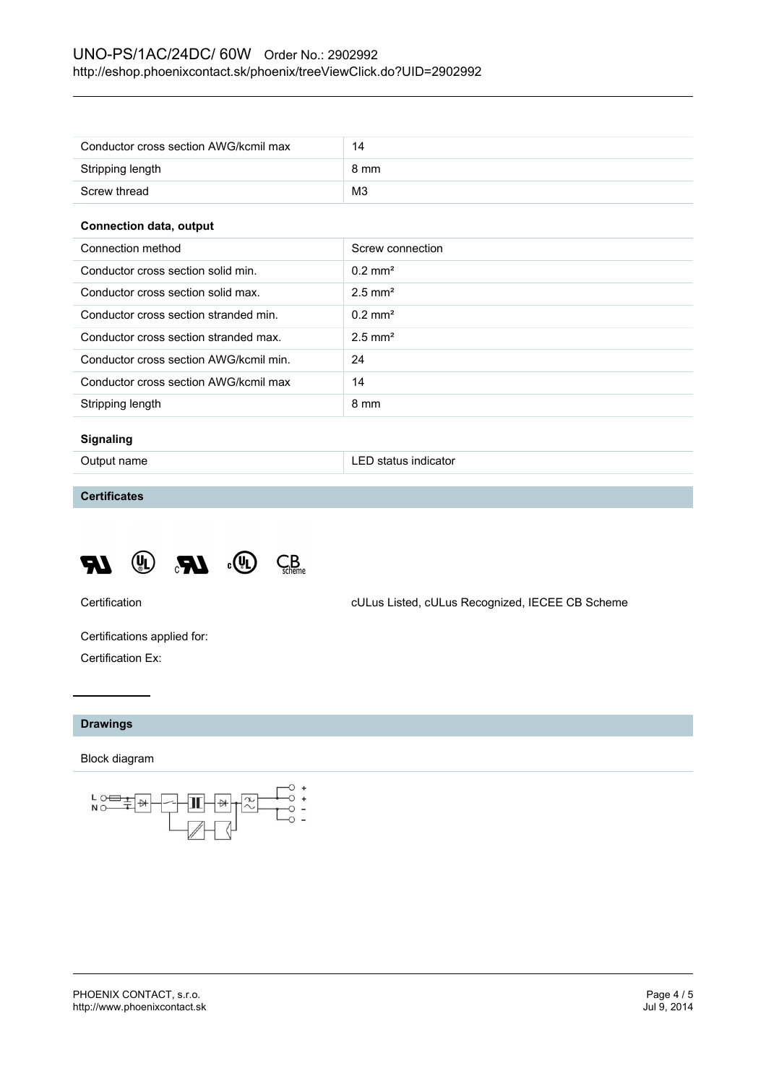## UNO-PS/1AC/24DC/ 60W Order No.: 2902992 <http://eshop.phoenixcontact.sk/phoenix/treeViewClick.do?UID=2902992>

| Conductor cross section AWG/kcmil max | 14             |
|---------------------------------------|----------------|
| Stripping length                      | 8 mm           |
| Screw thread                          | M <sub>3</sub> |

#### **Connection data, output**

| Connection method                      | Screw connection      |
|----------------------------------------|-----------------------|
| Conductor cross section solid min.     | $0.2 \text{ mm}^2$    |
| Conductor cross section solid max.     | $2.5$ mm <sup>2</sup> |
| Conductor cross section stranded min.  | $0.2 \text{ mm}^2$    |
| Conductor cross section stranded max.  | $2.5$ mm <sup>2</sup> |
| Conductor cross section AWG/kcmil min. | 24                    |
| Conductor cross section AWG/kcmil max  | 14                    |
| Stripping length                       | 8 mm                  |

## **Signaling**

Output name **LED** status indicator

## **Certificates**



Certification cULus Listed, cULus Recognized, IECEE CB Scheme

Certifications applied for: Certification Ex:

## **Drawings**

#### Block diagram